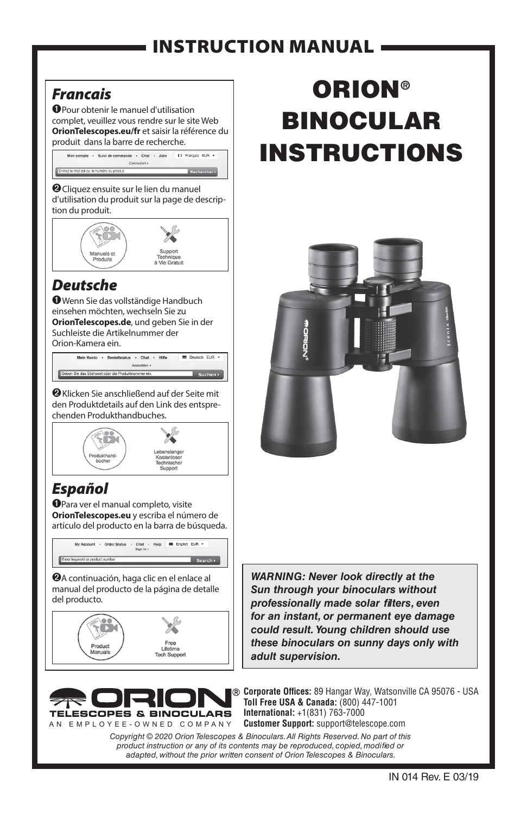### INSTRUCTION MANUAL

#### *Francais*

➊Pour obtenir le manuel d'utilisation complet, veuillez vous rendre sur le site Web **OrionTelescopes.eu/fr** et saisir la référence du produit dans la barre de recherche.



➋Cliquez ensuite sur le lien du manuel d'utilisation du produit sur la page de description du produit.



#### *Deutsche*

➊Wenn Sie das vollständige Handbuch einsehen möchten, wechseln Sie zu **OrionTelescopes.de**, und geben Sie in der Suchleiste die Artikelnummer der Orion-Kamera ein.

Mein Konto - Bestellstatus - Chat - Hilfe  $\blacksquare$  Deutsch, FUR

➋Klicken Sie anschließend auf der Seite mit den Produktdetails auf den Link des entsprechenden Produkthandbuches.



#### *Español*

➊Para ver el manual completo, visite **OrionTelescopes.eu** y escriba el número de artículo del producto en la barra de búsqueda.



➋A continuación, haga clic en el enlace al manual del producto de la página de detalle del producto.





# ORION® BINOCULAR INSTRUCTIONS



*WARNING: Never look directly at the Sun through your binoculars without professionally made solar filters, even for an instant, or permanent eye damage could result. Young children should use these binoculars on sunny days only with adult supervision.*

**Corporate Offices:** 89 Hangar Way, Watsonville CA 95076 - USA **Toll Free USA & Canada:** (800) 447-1001 **International:** +1(831) 763-7000 **Customer Support:** support@telescope.com

*Copyright © 2020 Orion Telescopes & Binoculars. All Rights Reserved. No part of this product instruction or any of its contents may be reproduced, copied, modified or adapted, without the prior written consent of Orion Telescopes & Binoculars.*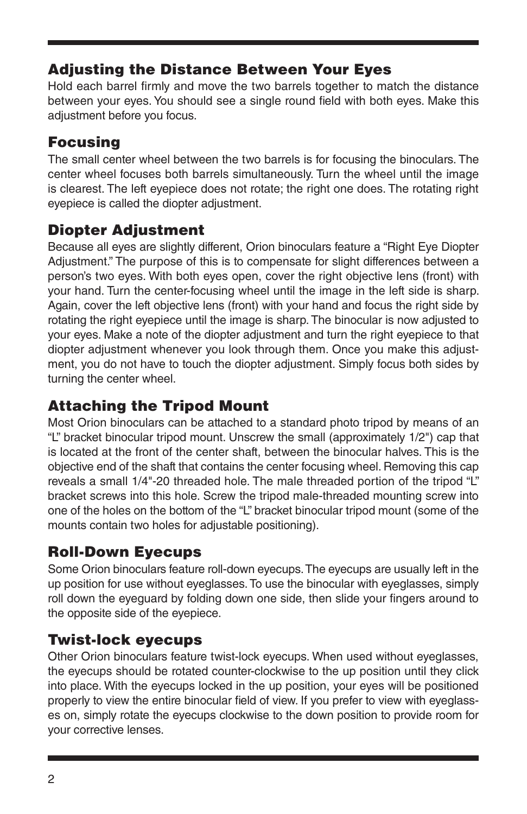#### Adjusting the Distance Between Your Eyes

Hold each barrel firmly and move the two barrels together to match the distance between your eyes. You should see a single round field with both eyes. Make this adjustment before you focus.

#### Focusing

The small center wheel between the two barrels is for focusing the binoculars. The center wheel focuses both barrels simultaneously. Turn the wheel until the image is clearest. The left eyepiece does not rotate; the right one does. The rotating right eyepiece is called the diopter adjustment.

#### Diopter Adjustment

Because all eyes are slightly different, Orion binoculars feature a "Right Eye Diopter Adjustment." The purpose of this is to compensate for slight differences between a person's two eyes. With both eyes open, cover the right objective lens (front) with your hand. Turn the center-focusing wheel until the image in the left side is sharp. Again, cover the left objective lens (front) with your hand and focus the right side by rotating the right eyepiece until the image is sharp. The binocular is now adjusted to your eyes. Make a note of the diopter adjustment and turn the right eyepiece to that diopter adjustment whenever you look through them. Once you make this adjustment, you do not have to touch the diopter adjustment. Simply focus both sides by turning the center wheel.

#### Attaching the Tripod Mount

Most Orion binoculars can be attached to a standard photo tripod by means of an "L" bracket binocular tripod mount. Unscrew the small (approximately 1/2") cap that is located at the front of the center shaft, between the binocular halves. This is the objective end of the shaft that contains the center focusing wheel. Removing this cap reveals a small 1/4"-20 threaded hole. The male threaded portion of the tripod "L" bracket screws into this hole. Screw the tripod male-threaded mounting screw into one of the holes on the bottom of the "L" bracket binocular tripod mount (some of the mounts contain two holes for adjustable positioning).

#### Roll-Down Eyecups

Some Orion binoculars feature roll-down eyecups. The eyecups are usually left in the up position for use without eyeglasses. To use the binocular with eyeglasses, simply roll down the eyeguard by folding down one side, then slide your fingers around to the opposite side of the eyepiece.

#### Twist-lock eyecups

Other Orion binoculars feature twist-lock eyecups. When used without eyeglasses, the eyecups should be rotated counter-clockwise to the up position until they click into place. With the eyecups locked in the up position, your eyes will be positioned properly to view the entire binocular field of view. If you prefer to view with eyeglasses on, simply rotate the eyecups clockwise to the down position to provide room for your corrective lenses.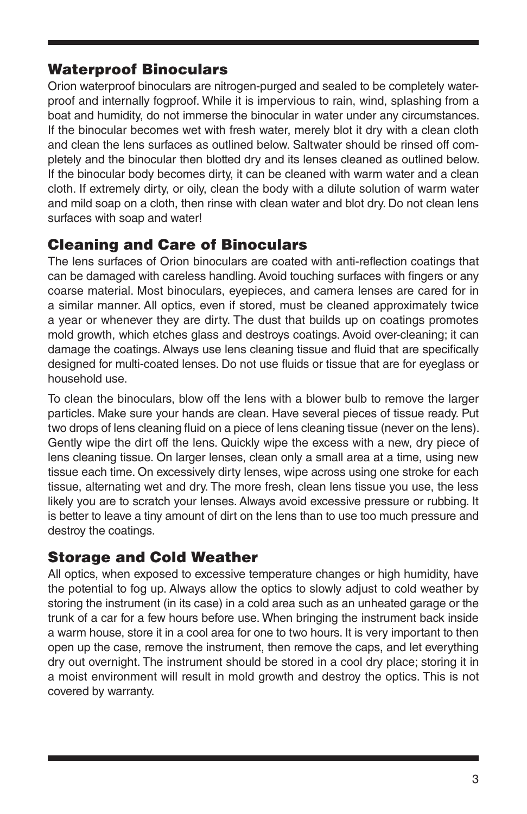#### Waterproof Binoculars

Orion waterproof binoculars are nitrogen-purged and sealed to be completely waterproof and internally fogproof. While it is impervious to rain, wind, splashing from a boat and humidity, do not immerse the binocular in water under any circumstances. If the binocular becomes wet with fresh water, merely blot it dry with a clean cloth and clean the lens surfaces as outlined below. Saltwater should be rinsed off completely and the binocular then blotted dry and its lenses cleaned as outlined below. If the binocular body becomes dirty, it can be cleaned with warm water and a clean cloth. If extremely dirty, or oily, clean the body with a dilute solution of warm water and mild soap on a cloth, then rinse with clean water and blot dry. Do not clean lens surfaces with soap and water!

#### Cleaning and Care of Binoculars

The lens surfaces of Orion binoculars are coated with anti-reflection coatings that can be damaged with careless handling. Avoid touching surfaces with fingers or any coarse material. Most binoculars, eyepieces, and camera lenses are cared for in a similar manner. All optics, even if stored, must be cleaned approximately twice a year or whenever they are dirty. The dust that builds up on coatings promotes mold growth, which etches glass and destroys coatings. Avoid over-cleaning; it can damage the coatings. Always use lens cleaning tissue and fluid that are specifically designed for multi-coated lenses. Do not use fluids or tissue that are for eyeglass or household use.

To clean the binoculars, blow off the lens with a blower bulb to remove the larger particles. Make sure your hands are clean. Have several pieces of tissue ready. Put two drops of lens cleaning fluid on a piece of lens cleaning tissue (never on the lens). Gently wipe the dirt off the lens. Quickly wipe the excess with a new, dry piece of lens cleaning tissue. On larger lenses, clean only a small area at a time, using new tissue each time. On excessively dirty lenses, wipe across using one stroke for each tissue, alternating wet and dry. The more fresh, clean lens tissue you use, the less likely you are to scratch your lenses. Always avoid excessive pressure or rubbing. It is better to leave a tiny amount of dirt on the lens than to use too much pressure and destroy the coatings.

#### Storage and Cold Weather

All optics, when exposed to excessive temperature changes or high humidity, have the potential to fog up. Always allow the optics to slowly adjust to cold weather by storing the instrument (in its case) in a cold area such as an unheated garage or the trunk of a car for a few hours before use. When bringing the instrument back inside a warm house, store it in a cool area for one to two hours. It is very important to then open up the case, remove the instrument, then remove the caps, and let everything dry out overnight. The instrument should be stored in a cool dry place; storing it in a moist environment will result in mold growth and destroy the optics. This is not covered by warranty.